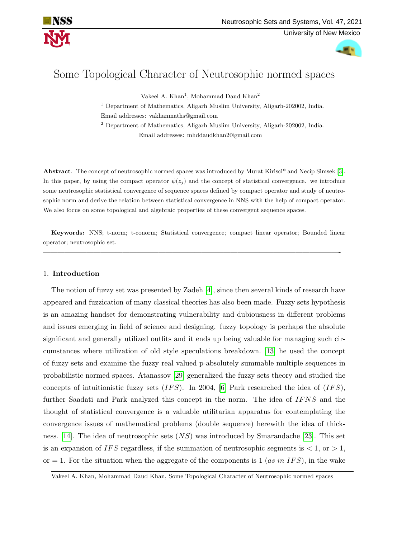

# Some Topological Character of Neutrosophic normed spaces

Vakeel A. Khan<sup>1</sup>, Mohammad Daud Khan<sup>2</sup>

<sup>1</sup> Department of Mathematics, Aligarh Muslim University, Aligarh-202002, India. Email addresses: vakhanmaths@gmail.com

<sup>2</sup> Department of Mathematics, Aligarh Muslim University, Aligarh-202002, India. Email addresses: mhddaudkhan2@gmail.com

Abstract. The concept of neutrosophic normed spaces was introduced by Murat Kirisci\* and Necip Simsek [\[3\]](#page-12-0). In this paper, by using the compact operator  $\psi(z_i)$  and the concept of statistical convergence. we introduce some neutrosophic statistical convergence of sequence spaces defined by compact operator and study of neutrosophic norm and derive the relation between statistical convergence in NNS with the help of compact operator. We also focus on some topological and algebraic properties of these convergent sequence spaces.

Keywords: NNS; t-norm; t-conorm; Statistical convergence; compact linear operator; Bounded linear operator; neutrosophic set.

—————————————————————————————————————————-

# 1. Introduction

The notion of fuzzy set was presented by Zadeh [\[4\]](#page-12-1), since then several kinds of research have appeared and fuzzication of many classical theories has also been made. Fuzzy sets hypothesis is an amazing handset for demonstrating vulnerability and dubiousness in different problems and issues emerging in field of science and designing. fuzzy topology is perhaps the absolute significant and generally utilized outfits and it ends up being valuable for managing such circumstances where utilization of old style speculations breakdown. [\[13\]](#page-12-2) he used the concept of fuzzy sets and examine the fuzzy real valued p-absolutely summable multiple sequences in probabilistic normed spaces. Atanassov [\[29\]](#page-13-0) generalized the fuzzy sets theory and studied the concepts of intuitionistic fuzzy sets  $(IFS)$ . In 2004, [\[6\]](#page-12-3) Park researched the idea of  $(IFS)$ , further Saadati and Park analyzed this concept in the norm. The idea of IFNS and the thought of statistical convergence is a valuable utilitarian apparatus for contemplating the convergence issues of mathematical problems (double sequence) herewith the idea of thick-ness. [\[14\]](#page-12-4). The idea of neutrosophic sets  $(NS)$  was introduced by Smarandache [\[23\]](#page-13-1). This set is an expansion of IFS regardless, if the summation of neutrosophic segments is  $\langle 1, \text{ or } \rangle 1$ , or  $= 1$ . For the situation when the aggregate of the components is 1 (*as in IFS*), in the wake

Vakeel A. Khan, Mohammad Daud Khan, Some Topological Character of Neutrosophic normed spaces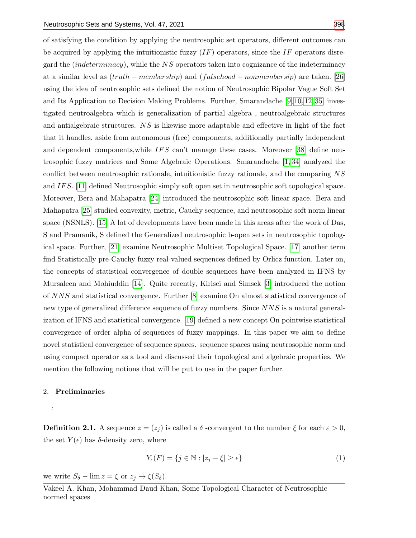of satisfying the condition by applying the neutrosophic set operators, different outcomes can be acquired by applying the intuitionistic fuzzy  $(IF)$  operators, since the IF operators disregard the *(indeterminacy)*, while the  $NS$  operators taken into cognizance of the indeterminacy at a similar level as  $(truth - membership)$  and  $(falschool - nonmembersip)$  are taken. [\[26\]](#page-13-3) using the idea of neutrosophic sets defined the notion of Neutrosophic Bipolar Vague Soft Set and Its Application to Decision Making Problems. Further, Smarandache [\[9,](#page-12-5) [10,](#page-12-6) [12,](#page-12-7) [35\]](#page-13-4) investigated neutroalgebra which is generalization of partial algebra , neutroalgebraic structures and antialgebraic structures. NS is likewise more adaptable and effective in light of the fact that it handles, aside from autonomous (free) components, additionally partially independent and dependent components, while  $IFS$  can't manage these cases. Moreover [\[38\]](#page-13-5) define neutrosophic fuzzy matrices and Some Algebraic Operations. Smarandache [\[1,](#page-12-8) [34\]](#page-13-6) analyzed the conflict between neutrosophic rationale, intuitionistic fuzzy rationale, and the comparing NS and IF S. [\[11\]](#page-12-9) defined Neutrosophic simply soft open set in neutrosophic soft topological space. Moreover, Bera and Mahapatra [\[24\]](#page-13-7) introduced the neutrosophic soft linear space. Bera and Mahapatra [\[25\]](#page-13-8) studied convexity, metric, Cauchy sequence, and neutrosophic soft norm linear space (NSNLS). [\[15\]](#page-12-10) A lot of developments have been made in this areas after the work of Das, S and Pramanik, S defined the Generalized neutrosophic b-open sets in neutrosophic topological space. Further, [\[21\]](#page-13-9) examine Neutrosophic Multiset Topological Space. [\[17\]](#page-13-10) another term find Statistically pre-Cauchy fuzzy real-valued sequences defined by Orlicz function. Later on, the concepts of statistical convergence of double sequences have been analyzed in IFNS by Mursaleen and Mohiuddin [\[14\]](#page-12-4). Quite recently, Kirisci and Simsek [\[3\]](#page-12-0) introduced the notion of NNS and statistical convergence. Further [\[8\]](#page-12-11) examine On almost statistical convergence of new type of generalized difference sequence of fuzzy numbers. Since NNS is a natural generalization of IFNS and statistical convergence. [\[19\]](#page-13-11) defined a new concept On pointwise statistical convergence of order alpha of sequences of fuzzy mappings. In this paper we aim to define novel statistical convergence of sequence spaces. sequence spaces using neutrosophic norm and using compact operator as a tool and discussed their topological and algebraic properties. We mention the following notions that will be put to use in the paper further.

#### 2. Preliminaries

:

**Definition 2.1.** A sequence  $z = (z_i)$  is called a  $\delta$  -convergent to the number  $\xi$  for each  $\varepsilon > 0$ , the set  $Y(\epsilon)$  has  $\delta$ -density zero, where

$$
Y_{\epsilon}(F) = \{ j \in \mathbb{N} : |z_j - \xi| \ge \epsilon \}
$$
\n<sup>(1)</sup>

we write  $S_{\delta}$  –  $\lim z = \xi$  or  $z_j \to \xi(S_{\delta}).$ 

Vakeel A. Khan, Mohammad Daud Khan, Some Topological Character of Neutrosophic normed spaces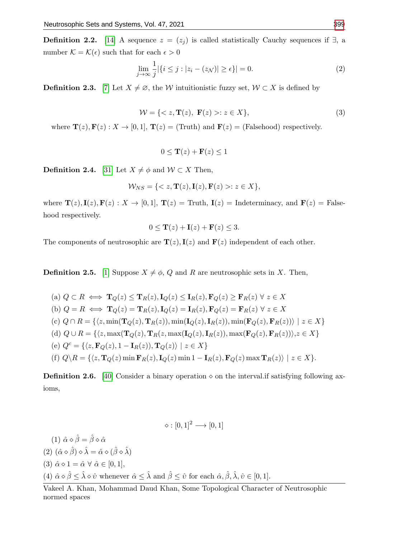**Definition 2.2.** [\[14\]](#page-12-4) A sequence  $z = (z_j)$  is called statistically Cauchy sequences if  $\exists$ , a number  $\mathcal{K} = \mathcal{K}(\epsilon)$  such that for each  $\epsilon > 0$ 

$$
\lim_{j \to \infty} \frac{1}{j} |\{ i \le j : |z_i - (z_{\mathcal{N}})| \ge \epsilon \}| = 0.
$$
 (2)

**Definition 2.3.** [\[7\]](#page-12-12) Let  $X \neq \emptyset$ , the W intuitionistic fuzzy set,  $W \subset X$  is defined by

$$
\mathcal{W} = \{ \langle z, \mathbf{T}(z), \mathbf{F}(z) \rangle : z \in X \},\tag{3}
$$

where  $\mathbf{T}(z), \mathbf{F}(z): X \to [0, 1], \mathbf{T}(z) = (\text{Truth})$  and  $\mathbf{F}(z) = (\text{Falsehood})$  respectively.

$$
0 \le \mathbf{T}(z) + \mathbf{F}(z) \le 1
$$

**Definition 2.4.** [\[31\]](#page-13-12) Let  $X \neq \phi$  and  $W \subset X$  Then,

$$
\mathcal{W}_{NS} = \{ \langle z, \mathbf{T}(z), \mathbf{I}(z), \mathbf{F}(z) \rangle : z \in X \},\
$$

where  $\mathbf{T}(z), \mathbf{I}(z), \mathbf{F}(z) : X \to [0, 1], \mathbf{T}(z) = \text{Truth}, \mathbf{I}(z) = \text{Indeterminacy}, \text{ and } \mathbf{F}(z) = \text{False}$ hood respectively.

$$
0 \le \mathbf{T}(z) + \mathbf{I}(z) + \mathbf{F}(z) \le 3.
$$

The components of neutrosophic are  $\mathbf{T}(z), \mathbf{I}(z)$  and  $\mathbf{F}(z)$  independent of each other.

**Definition 2.5.** [\[1\]](#page-12-8) Suppose  $X \neq \emptyset$ , Q and R are neutrosophic sets in X. Then,

(a) 
$$
Q \subset R \iff \mathbf{T}_Q(z) \leq \mathbf{T}_R(z), \mathbf{I}_Q(z) \leq \mathbf{I}_R(z), \mathbf{F}_Q(z) \geq \mathbf{F}_R(z) \ \forall \ z \in X
$$
  
\n(b)  $Q = R \iff \mathbf{T}_Q(z) = \mathbf{T}_R(z), \mathbf{I}_Q(z) = \mathbf{I}_R(z), \mathbf{F}_Q(z) = \mathbf{F}_R(z) \ \forall \ z \in X$   
\n(c)  $Q \cap R = \{ \langle z, \min(\mathbf{T}_Q(z), \mathbf{T}_R(z)), \min(\mathbf{I}_Q(z), \mathbf{I}_R(z)), \min(\mathbf{F}_Q(z), \mathbf{F}_R(z)) \rangle \mid z \in X \}$   
\n(d)  $Q \cup R = \{ \langle z, \max(\mathbf{T}_Q(z), \mathbf{T}_R(z, \max(\mathbf{I}_Q(z), \mathbf{I}_R(z)), \max(\mathbf{F}_Q(z), \mathbf{F}_R(z)) \rangle, z \in X \}$   
\n(e)  $Q^c = \{ \langle z, \mathbf{F}_Q(z), 1 - \mathbf{I}_R(z), \mathbf{T}_Q(z) \rangle \mid z \in X \}$   
\n(f)  $Q \setminus R = \{ \langle z, \mathbf{T}_Q(z) \min \mathbf{F}_R(z), \mathbf{I}_Q(z) \min 1 - \mathbf{I}_R(z), \mathbf{F}_Q(z) \max \mathbf{T}_R(z) \rangle \mid z \in X \}$ .

**Definition 2.6.** [\[40\]](#page-13-13) Consider a binary operation  $\diamond$  on the interval. if satisfying following axioms,

 $\diamond : [0, 1]^2 \longrightarrow [0, 1]$ 

\n- (1) 
$$
\hat{\alpha} \diamond \hat{\beta} = \hat{\beta} \diamond \hat{\alpha}
$$
\n- (2)  $(\hat{\alpha} \diamond \hat{\beta}) \diamond \hat{\lambda} = \hat{\alpha} \diamond (\hat{\beta} \diamond \hat{\lambda})$
\n- (3)  $\hat{\alpha} \diamond 1 = \hat{\alpha} \forall \hat{\alpha} \in [0, 1]$ ,
\n- (4)  $\hat{\alpha} \diamond \hat{\beta} \leq \hat{\lambda} \diamond \hat{\upsilon}$  whenever  $\hat{\alpha} \leq \hat{\lambda}$  and  $\hat{\beta} \leq \hat{\upsilon}$  for each  $\hat{\alpha}, \hat{\beta}, \hat{\lambda}, \hat{\upsilon} \in [0, 1]$ .
\n

Vakeel A. Khan, Mohammad Daud Khan, Some Topological Character of Neutrosophic normed spaces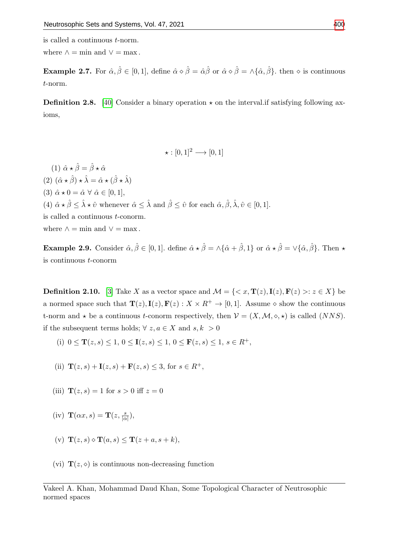is called a continuous t-norm.

where  $\wedge = \min$  and  $\vee = \max$ .

**Example 2.7.** For  $\hat{\alpha}, \hat{\beta} \in [0, 1]$ , define  $\hat{\alpha} \diamond \hat{\beta} = \hat{\alpha} \hat{\beta}$  or  $\hat{\alpha} \diamond \hat{\beta} = \wedge \{\hat{\alpha}, \hat{\beta}\}\$ . then  $\diamond$  is continuous t-norm.

**Definition 2.8.** [\[40\]](#page-13-13) Consider a binary operation  $\star$  on the interval. if satisfying following axioms,

 $\star : [0, 1]^2 \longrightarrow [0, 1]$ 

(1)  $\hat{\alpha} \star \hat{\beta} = \hat{\beta} \star \hat{\alpha}$ (2)  $(\hat{\alpha} \star \hat{\beta}) \star \hat{\lambda} = \hat{\alpha} \star (\hat{\beta} \star \hat{\lambda})$ (3)  $\hat{\alpha} \star 0 = \hat{\alpha} \forall \hat{\alpha} \in [0, 1],$ (4)  $\hat{\alpha} \star \hat{\beta} \leq \hat{\lambda} \star \hat{v}$  whenever  $\hat{\alpha} \leq \hat{\lambda}$  and  $\hat{\beta} \leq \hat{v}$  for each  $\hat{\alpha}, \hat{\beta}, \hat{\lambda}, \hat{v} \in [0, 1]$ . is called a continuous t-conorm. where  $\wedge = \min$  and  $\vee = \max$ .

**Example 2.9.** Consider  $\hat{\alpha}, \hat{\beta} \in [0, 1]$ . define  $\hat{\alpha} \star \hat{\beta} = \Delta \{\hat{\alpha} + \hat{\beta}, 1\}$  or  $\hat{\alpha} \star \hat{\beta} = \Delta \{\hat{\alpha}, \hat{\beta}\}\$ . Then  $\star$ is continuous t-conorm

**Definition 2.10.** [\[3\]](#page-12-0) Take X as a vector space and  $\mathcal{M} = \{ \langle x, \mathbf{T}(z), \mathbf{I}(z), \mathbf{F}(z) \rangle : z \in X \}$  be a normed space such that  $\mathbf{T}(z), \mathbf{I}(z), \mathbf{F}(z) : X \times R^+ \to [0, 1]$ . Assume  $\diamond$  show the continuous t-norm and  $\star$  be a continuous t-conorm respectively, then  $V = (X, \mathcal{M}, \diamond, \star)$  is called (NNS). if the subsequent terms holds;  $\forall z, a \in X$  and  $s, k > 0$ 

(i) 
$$
0 \le \mathbf{T}(z, s) \le 1, 0 \le \mathbf{I}(z, s) \le 1, 0 \le \mathbf{F}(z, s) \le 1, s \in R^{+}
$$
,

(ii) 
$$
\mathbf{T}(z, s) + \mathbf{I}(z, s) + \mathbf{F}(z, s) \leq 3
$$
, for  $s \in R^+$ ,

- (iii)  $\mathbf{T}(z, s) = 1$  for  $s > 0$  iff  $z = 0$
- (iv)  $\mathbf{T}(\alpha x, s) = \mathbf{T}(z, \frac{s}{|\alpha|}),$
- (v)  $\mathbf{T}(z, s) \diamond \mathbf{T}(a, s) \leq \mathbf{T}(z + a, s + k),$
- (vi)  $\mathbf{T}(z, \diamond)$  is continuous non-decreasing function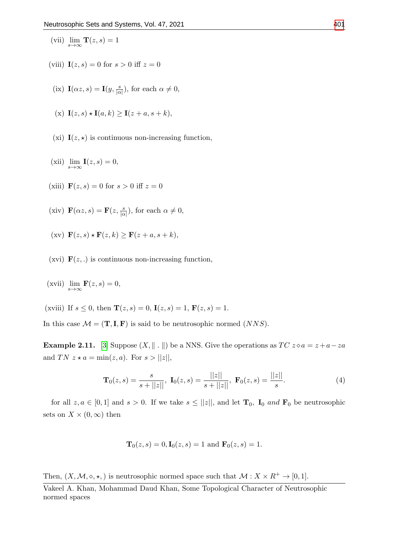- (vii)  $\lim_{s \to \infty} \mathbf{T}(z, s) = 1$
- (viii)  $I(z, s) = 0$  for  $s > 0$  iff  $z = 0$
- (ix)  $\mathbf{I}(\alpha z, s) = \mathbf{I}(y, \frac{s}{|\alpha|})$ , for each  $\alpha \neq 0$ ,

$$
(x) \mathbf{I}(z,s) \star \mathbf{I}(a,k) \ge \mathbf{I}(z+a,s+k),
$$

- (xi)  $\mathbf{I}(z, \star)$  is continuous non-increasing function,
- (xii)  $\lim_{s \to \infty} \mathbf{I}(z, s) = 0,$
- (xiii)  $\mathbf{F}(z, s) = 0$  for  $s > 0$  iff  $z = 0$
- (xiv)  $\mathbf{F}(\alpha z, s) = \mathbf{F}(z, \frac{s}{|\alpha|})$ , for each  $\alpha \neq 0$ ,
- (xv)  $\mathbf{F}(z, s) \star \mathbf{F}(z, k) \geq \mathbf{F}(z + a, s + k),$
- (xvi)  $\mathbf{F}(z,.)$  is continuous non-increasing function,
- (xvii)  $\lim_{s \to \infty} \mathbf{F}(z, s) = 0$ ,
- (xviii) If  $s \leq 0$ , then  $\mathbf{T}(z, s) = 0$ ,  $\mathbf{I}(z, s) = 1$ ,  $\mathbf{F}(z, s) = 1$ .

In this case  $\mathcal{M} = (\mathbf{T}, \mathbf{I}, \mathbf{F})$  is said to be neutrosophic normed  $(NNS)$ .

**Example 2.11.** [\[3\]](#page-12-0) Suppose  $(X, \| \cdot \|)$  be a NNS. Give the operations as  $TC \, z \diamond a = z + a - za$ and TN  $z \star a = \min(z, a)$ . For  $s > ||z||$ ,

$$
\mathbf{T}_0(z,s) = \frac{s}{s + ||z||}, \ \mathbf{I}_0(z,s) = \frac{||z||}{s + ||z||}, \ \mathbf{F}_0(z,s) = \frac{||z||}{s}.
$$
 (4)

for all  $z, a \in [0,1]$  and  $s > 0$ . If we take  $s \leq ||z||$ , and let  $\mathbf{T}_0$ ,  $\mathbf{I}_0$  and  $\mathbf{F}_0$  be neutrosophic sets on  $X \times (0, \infty)$  then

$$
\mathbf{T}_0(z,s) = 0, \mathbf{I}_0(z,s) = 1 \text{ and } \mathbf{F}_0(z,s) = 1.
$$

Then,  $(X, \mathcal{M}, \diamond, \star)$  is neutrosophic normed space such that  $\mathcal{M} : X \times R^+ \to [0, 1].$ 

Vakeel A. Khan, Mohammad Daud Khan, Some Topological Character of Neutrosophic normed spaces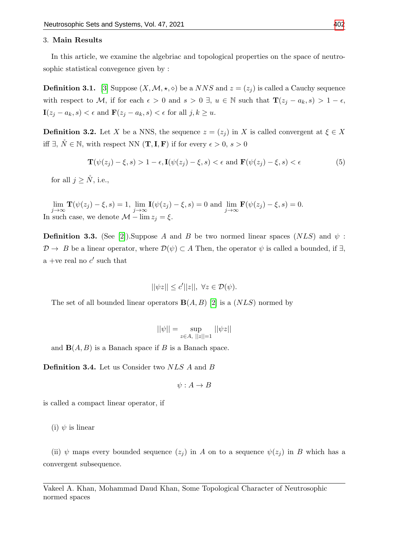## 3. Main Results

In this article, we examine the algebriac and topological properties on the space of neutrosophic statistical convegence given by :

**Definition 3.1.** [\[3\]](#page-12-0) Suppose  $(X, \mathcal{M}, \star, \diamond)$  be a *NNS* and  $z = (z_i)$  is called a Cauchy sequence with respect to M, if for each  $\epsilon > 0$  and  $s > 0 \exists$ ,  $u \in \mathbb{N}$  such that  $\mathbf{T}(z_j - a_k, s) > 1 - \epsilon$ ,  $\mathbf{I}(z_j - a_k, s) < \epsilon$  and  $\mathbf{F}(z_j - a_k, s) < \epsilon$  for all  $j, k \geq u$ .

**Definition 3.2.** Let X be a NNS, the sequence  $z = (z_j)$  in X is called convergent at  $\xi \in X$ iff  $\exists$ ,  $\check{N} \in \mathbb{N}$ , with respect NN  $(\mathbf{T}, \mathbf{I}, \mathbf{F})$  if for every  $\epsilon > 0$ ,  $s > 0$ 

$$
\mathbf{T}(\psi(z_j) - \xi, s) > 1 - \epsilon, \mathbf{I}(\psi(z_j) - \xi, s) < \epsilon \text{ and } \mathbf{F}(\psi(z_j) - \xi, s) < \epsilon \tag{5}
$$

for all  $j > N$ , i.e.,

 $\lim_{j\to\infty} \mathbf{T}(\psi(z_j) - \xi, s) = 1, \lim_{j\to\infty} \mathbf{I}(\psi(z_j) - \xi, s) = 0$  and  $\lim_{j\to\infty} \mathbf{F}(\psi(z_j) - \xi, s) = 0$ . In such case, we denote  $\mathcal{M} - \lim z_j = \xi$ .

**Definition 3.3.** (See [\[2\]](#page-12-13)).Suppose A and B be two normed linear spaces (NLS) and  $\psi$ :  $\mathcal{D} \to B$  be a linear operator, where  $\mathcal{D}(\psi) \subset A$  Then, the operator  $\psi$  is called a bounded, if  $\exists$ , a +ve real no  $c'$  such that

$$
||\psi z|| \le c'||z||, \ \forall z \in \mathcal{D}(\psi).
$$

The set of all bounded linear operators  $B(A, B)$  [\[2\]](#page-12-13) is a (NLS) normed by

$$
||\psi|| = \sup_{z \in A, ||z|| = 1} ||\psi z||
$$

and  $\mathbf{B}(A, B)$  is a Banach space if B is a Banach space.

Definition 3.4. Let us Consider two NLS A and B

$$
\psi: A \to B
$$

is called a compact linear operator, if

(i)  $\psi$  is linear

(ii)  $\psi$  maps every bounded sequence  $(z_j)$  in A on to a sequence  $\psi(z_j)$  in B which has a convergent subsequence.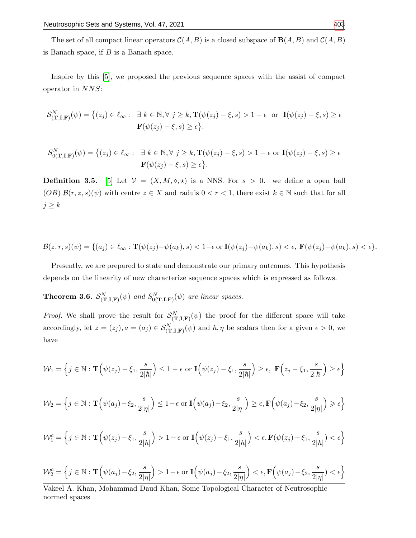The set of all compact linear operators  $\mathcal{C}(A, B)$  is a closed subspace of  $\mathbf{B}(A, B)$  and  $\mathcal{C}(A, B)$ is Banach space, if  $B$  is a Banach space.

Inspire by this [\[5\]](#page-12-14), we proposed the previous sequence spaces with the assist of compact operator in NNS:

$$
\mathcal{S}_{(\mathbf{T},\mathbf{I},\mathbf{F})}^{N}(\psi) = \left\{ (z_j) \in \ell_\infty : \ \exists \ k \in \mathbb{N}, \forall \ j \ge k, \mathbf{T}(\psi(z_j) - \xi, s) > 1 - \epsilon \ \text{or} \ \mathbf{I}(\psi(z_j) - \xi, s) \ge \epsilon \right\}
$$
\n
$$
\mathbf{F}(\psi(z_j) - \xi, s) \ge \epsilon \right\}.
$$

$$
S_{0(\mathbf{T},\mathbf{I},\mathbf{F})}^{N}(\psi) = \left\{ (z_j) \in \ell_\infty : \quad \exists \ k \in \mathbb{N}, \forall \ j \ge k, \mathbf{T}(\psi(z_j) - \xi, s) > 1 - \epsilon \text{ or } \mathbf{I}(\psi(z_j) - \xi, s) \ge \epsilon \right\}.
$$

$$
\mathbf{F}(\psi(z_j) - \xi, s) \ge \epsilon \left\}.
$$

**Definition 3.5.** [\[5\]](#page-12-14) Let  $V = (X, M, \diamond, \star)$  is a NNS. For  $s > 0$ . we define a open ball (OB)  $\mathcal{B}(r, z, s)(\psi)$  with centre  $z \in X$  and raduis  $0 < r < 1$ , there exist  $k \in \mathbb{N}$  such that for all  $j \geq k$ 

$$
\mathcal{B}(z,r,s)(\psi)=\{(a_j)\in \ell_\infty: \mathbf{T}(\psi(z_j)-\psi(a_k),s)<1-\epsilon \text{ or } \mathbf{I}(\psi(z_j)-\psi(a_k),s)<\epsilon, \ \mathbf{F}(\psi(z_j)-\psi(a_k),s)<\epsilon\}.
$$

Presently, we are prepared to state and demonstrate our primary outcomes. This hypothesis depends on the linearity of new characterize sequence spaces which is expressed as follows.

**Theorem 3.6.**  $\mathcal{S}_{(\mathbf{T},\mathbf{I},\mathbf{F})}^{N}(\psi)$  and  $S_{0(\mathbf{T},\mathbf{I},\mathbf{F})}^{N}(\psi)$  are linear spaces.

*Proof.* We shall prove the result for  $\mathcal{S}_{(\mathbf{T},\mathbf{I},\mathbf{F})}^{N}(\psi)$  the proof for the different space will take accordingly, let  $z = (z_j)$ ,  $a = (a_j) \in S^N_{(\mathbf{T},\mathbf{I},\mathbf{F})}(\psi)$  and  $\hbar, \eta$  be scalars then for a given  $\epsilon > 0$ , we have

$$
\mathcal{W}_1 = \left\{ j \in \mathbb{N} : \mathbf{T} \left( \psi(z_j) - \xi_1, \frac{s}{2|\hbar|} \right) \le 1 - \epsilon \text{ or } \mathbf{I} \left( \psi(z_j) - \xi_1, \frac{s}{2|\hbar|} \right) \ge \epsilon, \ \mathbf{F} \left( z_j - \xi_1, \frac{s}{2|\hbar|} \right) \ge \epsilon \right\}
$$

$$
\mathcal{W}_2 = \left\{ j \in \mathbb{N} : \mathbf{T} \left( \psi(a_j) - \xi_2, \frac{s}{2|\eta|} \right) \leq 1 - \epsilon \text{ or } \mathbf{I} \left( \psi(a_j) - \xi_2, \frac{s}{2|\eta|} \right) \geq \epsilon, \mathbf{F} \left( \psi(a_j) - \xi_2, \frac{s}{2|\eta|} \right) \geq \epsilon \right\}
$$

$$
\mathcal{W}_1^c = \left\{ j \in \mathbb{N} : \mathbf{T} \left( \psi(z_j) - \xi_1, \frac{s}{2|\hbar|} \right) > 1 - \epsilon \text{ or } \mathbf{I} \left( \psi(z_j) - \xi_1, \frac{s}{2|\hbar|} \right) < \epsilon, \mathbf{F} \left( \psi(z_j) - \xi_1, \frac{s}{2|\hbar|} \right) < \epsilon \right\}
$$

$$
\mathcal{W}_2^c = \left\{ j \in \mathbb{N} : \mathbf{T} \left( \psi(a_j) - \xi_2, \frac{s}{2|\eta|} \right) > 1 - \epsilon \text{ or } \mathbf{I} \left( \psi(a_j) - \xi_2, \frac{s}{2|\eta|} \right) < \epsilon, \mathbf{F} \left( \psi(a_j) - \xi_2, \frac{s}{2|\eta|} \right) < \epsilon \right\}
$$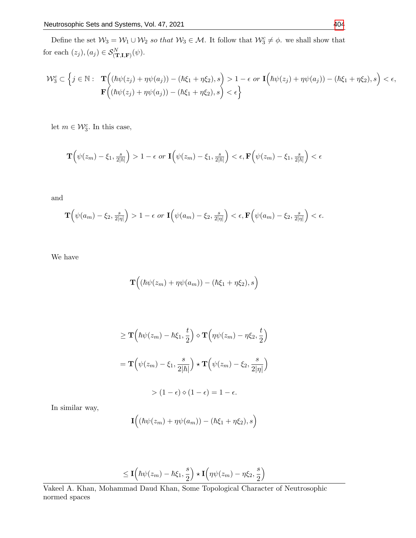Define the set  $W_3 = W_1 \cup W_2$  so that  $W_3 \in \mathcal{M}$ . It follow that  $W_3^c \neq \phi$ , we shall show that for each  $(z_j), (a_j) \in \mathcal{S}_{(\mathbf{T},\mathbf{I},\mathbf{F})}^N(\psi)$ .

$$
\mathcal{W}_3^c \subset \left\{ j \in \mathbb{N} : \quad \mathbf{T} \Big( (\hbar \psi(z_j) + \eta \psi(a_j)) - (\hbar \xi_1 + \eta \xi_2), s \Big) > 1 - \epsilon \text{ or } \mathbf{I} \Big( \hbar \psi(z_j) + \eta \psi(a_j)) - (\hbar \xi_1 + \eta \xi_2), s \Big) < \epsilon, \mathbf{F} \Big( (\hbar \psi(z_j) + \eta \psi(a_j)) - (\hbar \xi_1 + \eta \xi_2), s \Big) < \epsilon \right\}
$$

let  $m \in \mathcal{W}_3^c$ . In this case,

$$
\mathbf{T}\Big(\psi(z_m)-\xi_1,\frac{s}{2|\hbar|}\Big)>1-\epsilon \text{ or } \mathbf{I}\Big(\psi(z_m)-\xi_1,\frac{s}{2|\hbar|}\Big)<\epsilon, \mathbf{F}\Big(\psi(z_m)-\xi_1,\frac{s}{2|\hbar|}\Big)<\epsilon
$$

and

$$
\mathbf{T}\Big(\psi(a_m)-\xi_2,\tfrac{s}{2|\eta|}\Big)>1-\epsilon\,\,or\,\,\mathbf{I}\Big(\psi(a_m)-\xi_2,\tfrac{s}{2|\eta|}\Big)<\epsilon,\mathbf{F}\Big(\psi(a_m)-\xi_2,\tfrac{s}{2|\eta|}\Big)<\epsilon.
$$

We have

$$
\mathbf{T} \Big( (\hbar \psi(z_m) + \eta \psi(a_m)) - (\hbar \xi_1 + \eta \xi_2), s \Big)
$$

$$
\geq \mathbf{T} \left( \hbar \psi(z_m) - \hbar \xi_1, \frac{t}{2} \right) \diamond \mathbf{T} \left( \eta \psi(z_m) - \eta \xi_2, \frac{t}{2} \right)
$$

$$
= \mathbf{T} \left( \psi(z_m) - \xi_1, \frac{s}{2|\hbar|} \right) \star \mathbf{T} \left( \psi(z_m) - \xi_2, \frac{s}{2|\eta|} \right)
$$

$$
> (1 - \epsilon) \diamond (1 - \epsilon) = 1 - \epsilon.
$$

In similar way,

$$
\mathbf{I}((\hbar\psi(z_m)+\eta\psi(a_m))-(\hbar\xi_1+\eta\xi_2),s)
$$

$$
\leq \mathbf{I}\Big( \hbar \psi(z_m) - \hbar \xi_1, \frac{s}{2} \Big) \star \mathbf{I}\Big( \eta \psi(z_m) - \eta \xi_2, \frac{s}{2} \Big)
$$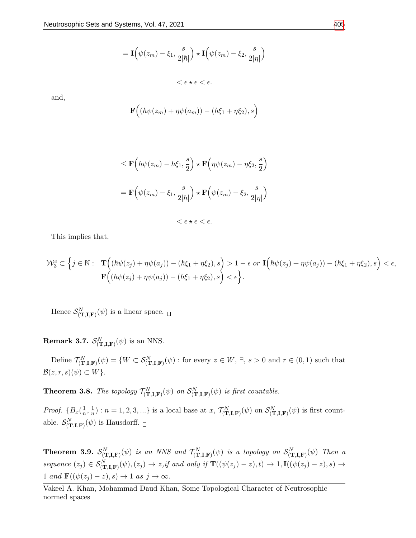$$
= \mathbf{I}\Big(\psi(z_m) - \xi_1, \frac{s}{2|\hbar|}\Big) \star \mathbf{I}\Big(\psi(z_m) - \xi_2, \frac{s}{2|\eta|}\Big) < \epsilon \star \epsilon < \epsilon.
$$

and,

$$
\mathbf{F}((\hbar\psi(z_m)+\eta\psi(a_m))-(\hbar\xi_1+\eta\xi_2),s)
$$

$$
\leq \mathbf{F} \Big( \hbar \psi(z_m) - \hbar \xi_1, \frac{s}{2} \Big) \star \mathbf{F} \Big( \eta \psi(z_m) - \eta \xi_2, \frac{s}{2} \Big)
$$
  
= 
$$
\mathbf{F} \Big( \psi(z_m) - \xi_1, \frac{s}{2|\hbar|} \Big) \star \mathbf{F} \Big( \psi(z_m) - \xi_2, \frac{s}{2|\eta|} \Big)
$$
  

$$
< \epsilon \star \epsilon < \epsilon.
$$

This implies that,

$$
\mathcal{W}_3^c \subset \left\{ j \in \mathbb{N} : \quad \mathbf{T} \Big( (\hbar \psi(z_j) + \eta \psi(a_j)) - (\hbar \xi_1 + \eta \xi_2), s \Big) > 1 - \epsilon \text{ or } \mathbf{I} \Big( \hbar \psi(z_j) + \eta \psi(a_j)) - (\hbar \xi_1 + \eta \xi_2), s \Big) < \epsilon, \mathbf{F} \Big( (\hbar \psi(z_j) + \eta \psi(a_j)) - (\hbar \xi_1 + \eta \xi_2), s \Big) < \epsilon \right\}.
$$

Hence  $\mathcal{S}_{(\mathbf{T},\mathbf{I},\mathbf{F})}^{N}(\psi)$  is a linear space.

**Remark 3.7.**  $\mathcal{S}_{(\mathbf{T},\mathbf{I},\mathbf{F})}^{N}(\psi)$  is an NNS.

Define  $\mathcal{T}_{(\mathbf{T},\mathbf{I},\mathbf{F})}^{N}(\psi) = \{W \subset \mathcal{S}_{(\mathbf{T},\mathbf{I},\mathbf{F})}^{N}(\psi) : \text{for every } z \in W, \exists, s > 0 \text{ and } r \in (0,1) \text{ such that }$  $\mathcal{B}(z, r, s)(\psi) \subset W$ .

**Theorem 3.8.** The topology  $\mathcal{T}^{N}_{(\mathbf{T},\mathbf{I},\mathbf{F})}(\psi)$  on  $\mathcal{S}^{N}_{(\mathbf{T},\mathbf{I},\mathbf{F})}(\psi)$  is first countable.

*Proof.*  $\{B_x(\frac{1}{n}\)$  $\frac{1}{n}, \frac{1}{n}$  $\mathcal{L}(\frac{1}{n})$ :  $n = 1, 2, 3, \ldots$  is a local base at  $x$ ,  $\mathcal{T}^N_{(\mathbf{T},\mathbf{I},\mathbf{F})}(\psi)$  on  $\mathcal{S}^N_{(\mathbf{T},\mathbf{I},\mathbf{F})}(\psi)$  is first countable.  $\mathcal{S}_{(\mathbf{T},\mathbf{I},\mathbf{F})}^{N}(\psi)$  is Hausdorff.

**Theorem 3.9.**  $\mathcal{S}_{(\mathbf{T},\mathbf{I},\mathbf{F})}^N(\psi)$  is an NNS and  $\mathcal{T}_{(\mathbf{T},\mathbf{I},\mathbf{F})}^N(\psi)$  is a topology on  $\mathcal{S}_{(\mathbf{T},\mathbf{I},\mathbf{F})}^N(\psi)$  Then a sequence  $(z_j) \in \mathcal{S}_{(\mathbf{T},\mathbf{I},\mathbf{F})}^N(\psi), (z_j) \to z,$ if and only if  $\mathbf{T}((\psi(z_j) - z), t) \to 1, \mathbf{I}((\psi(z_j) - z), s) \to t)$ 1 and  $\mathbf{F}((\psi(z_j) - z), s) \to 1$  as  $j \to \infty$ .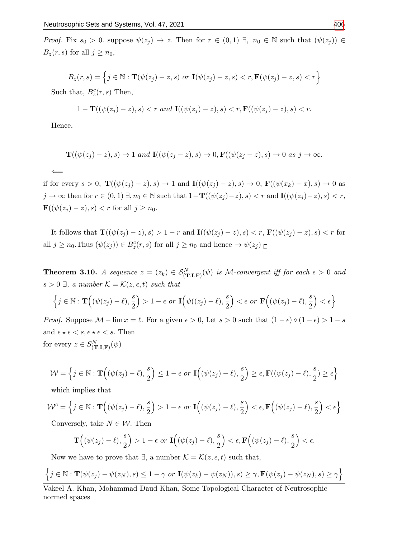*Proof.* Fix  $s_0 > 0$ . suppose  $\psi(z_j) \to z$ . Then for  $r \in (0,1)$   $\exists$ ,  $n_0 \in \mathbb{N}$  such that  $(\psi(z_j)) \in$  $B_z(r, s)$  for all  $j \geq n_0$ ,

$$
B_z(r,s) = \left\{ j \in \mathbb{N} : \mathbf{T}(\psi(z_j) - z, s) \text{ or } \mathbf{I}(\psi(z_j) - z, s) < r, \mathbf{F}(\psi(z_j) - z, s) < r \right\}
$$

Such that,  $B_z^c(r,s)$  Then,

$$
1-\mathbf{T}((\psi(z_j)-z),s) < r \text{ and } \mathbf{I}((\psi(z_j)-z),s) < r, \mathbf{F}((\psi(z_j)-z),s) < r.
$$

Hence,

$$
\mathbf{T}((\psi(z_j)-z),s) \to 1 \text{ and } \mathbf{I}((\psi(z_j-z),s) \to 0, \mathbf{F}((\psi(z_j-z),s) \to 0 \text{ as } j \to \infty.
$$

 $\leftarrow$ 

if for every  $s > 0$ ,  $\mathbf{T}((\psi(z_j) - z), s) \to 1$  and  $\mathbf{I}((\psi(z_j) - z), s) \to 0$ ,  $\mathbf{F}((\psi(x_k) - x), s) \to 0$  as  $j \to \infty$  then for  $r \in (0,1)$   $\exists, n_0 \in \mathbb{N}$  such that  $1-\mathbf{T}((\psi(z_j)-z), s) < r$  and  $\mathbf{I}((\psi(z_j)-z), s) < r$ ,  $\mathbf{F}((\psi(z_j) - z), s) < r$  for all  $j \geq n_0$ .

It follows that  $\mathbf{T}((\psi(z_j) - z), s) > 1 - r$  and  $\mathbf{I}((\psi(z_j) - z), s) < r$ ,  $\mathbf{F}((\psi(z_j) - z), s) < r$  for all  $j \geq n_0$ . Thus  $(\psi(z_j)) \in B_z^c(r, s)$  for all  $j \geq n_0$  and hence  $\to \psi(z_j)$ 

**Theorem 3.10.** A sequence  $z = (z_k) \in \mathcal{S}_{(\mathbf{T},\mathbf{I},\mathbf{F})}^N(\psi)$  is M-convergent iff for each  $\epsilon > 0$  and  $s > 0 \exists$ , a number  $\mathcal{K} = \mathcal{K}(z, \epsilon, t)$  such that

$$
\left\{j \in \mathbb{N}: \mathbf{T}\Big((\psi(z_j)-\ell),\frac{s}{2}\Big)>1-\epsilon \text{ or } \mathbf{I}\Big(\psi((z_j)-\ell),\frac{s}{2}\Big)<\epsilon \text{ or } \mathbf{F}\Big((\psi(z_j)-\ell),\frac{s}{2}\Big)<\epsilon\right\}
$$

*Proof.* Suppose  $\mathcal{M}$  – lim  $x = \ell$ . For a given  $\epsilon > 0$ , Let  $s > 0$  such that  $(1 - \epsilon) \circ (1 - \epsilon) > 1 - s$ and  $\epsilon \star \epsilon < s, \epsilon \star \epsilon < s$ . Then for every  $z \in S^N_{(\mathbf{T},\mathbf{I},\mathbf{F})}(\psi)$ 

$$
\mathcal{W} = \left\{ j \in \mathbb{N} : \mathbf{T} \Big( (\psi(z_j) - \ell), \frac{s}{2} \Big) \le 1 - \epsilon \text{ or } \mathbf{I} \Big( (\psi(z_j) - \ell), \frac{s}{2} \Big) \ge \epsilon, \mathbf{F} ((\psi(z_j) - \ell), \frac{s}{2}) \ge \epsilon \right\}
$$

which implies that

$$
\mathcal{W}^c = \left\{ j \in \mathbb{N} : \mathbf{T} \Big( (\psi(z_j) - \ell), \frac{s}{2} \Big) > 1 - \epsilon \text{ or } \mathbf{I} \Big( (\psi(z_j) - \ell), \frac{s}{2} \Big) < \epsilon, \mathbf{F} \Big( (\psi(z_j) - \ell), \frac{s}{2} \Big) < \epsilon \right\}
$$

Conversely, take  $N \in \mathcal{W}$ . Then

$$
\mathbf{T}\Big(\big(\psi(z_j)-\ell\big),\frac{s}{2}\Big)>1-\epsilon\,\,or\,\, \mathbf{I}\Big(\big(\psi(z_j)-\ell\big),\frac{s}{2}\Big)<\epsilon,\mathbf{F}\Big(\big(\psi(z_j)-\ell\big),\frac{s}{2}\Big)<\epsilon.
$$

Now we have to prove that  $\exists$ , a number  $\mathcal{K} = \mathcal{K}(z, \epsilon, t)$  such that,

$$
\left\{j \in \mathbb{N} : \mathbf{T}(\psi(z_j) - \psi(z_N), s) \leq 1 - \gamma \text{ or } \mathbf{I}(\psi(z_k) - \psi(z_N)), s) \geq \gamma, \mathbf{F}(\psi(z_j) - \psi(z_N), s) \geq \gamma\right\}
$$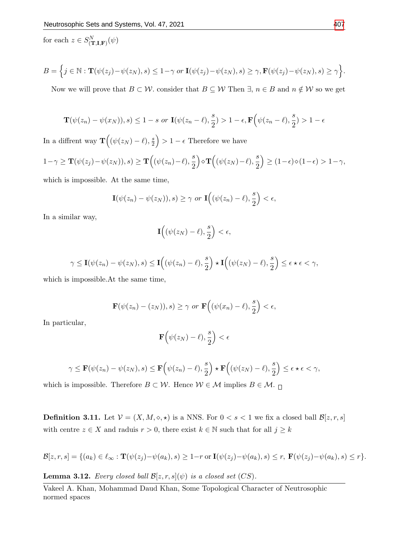for each  $z \in S_{(\mathbf{T},\mathbf{I},\mathbf{F})}^{N}(\psi)$ 

$$
B = \Big\{j \in \mathbb{N} : \mathbf{T}(\psi(z_j) - \psi(z_N), s) \leq 1 - \gamma \text{ or } \mathbf{I}(\psi(z_j) - \psi(z_N), s) \geq \gamma, \mathbf{F}(\psi(z_j) - \psi(z_N), s) \geq \gamma \Big\}.
$$

Now we will prove that  $B \subset \mathcal{W}$ . consider that  $B \subseteq \mathcal{W}$  Then  $\exists, n \in B$  and  $n \notin \mathcal{W}$  so we get

$$
\mathbf{T}(\psi(z_n) - \psi(x_N)), s) \le 1 - s \text{ or } \mathbf{I}(\psi(z_n - \ell), \frac{s}{2}) > 1 - \epsilon, \mathbf{F}\Big(\psi(z_n - \ell), \frac{s}{2}) > 1 - \epsilon
$$

In a diffrent way  $\mathbf{T}((\psi(z_N)-\ell),\frac{s}{2})$  $\left(\frac{s}{2}\right) > 1 - \epsilon$  Therefore we have

$$
1-\gamma \geq \mathbf{T}(\psi(z_j)-\psi(z_N)), s) \geq \mathbf{T}\Big((\psi(z_n)-\ell), \frac{s}{2}\Big) \diamond \mathbf{T}\Big((\psi(z_N)-\ell), \frac{s}{2}\Big) \geq (1-\epsilon)\diamond(1-\epsilon) > 1-\gamma,
$$

which is impossible. At the same time,

$$
\mathbf{I}(\psi(z_n) - \psi(z_N)), s) \ge \gamma \text{ or } \mathbf{I}\Big((\psi(z_n) - \ell), \frac{s}{2}\Big) < \epsilon,
$$

In a similar way,

$$
\mathbf{I}\Big((\psi(z_N)-\ell),\frac{s}{2}\Big)<\epsilon,
$$

$$
\gamma \le \mathbf{I}(\psi(z_n) - \psi(z_N), s) \le \mathbf{I}\Big((\psi(z_n) - \ell), \frac{s}{2}\Big) \star \mathbf{I}\Big((\psi(z_N) - \ell), \frac{s}{2}\Big) \le \epsilon \star \epsilon < \gamma,
$$

which is impossible.At the same time,

$$
\mathbf{F}(\psi(z_n)-(z_N)),s)\geq \gamma \text{ or }\mathbf{F}\Big((\psi(x_n)-\ell),\frac{s}{2}\Big)<\epsilon,
$$

In particular,

$$
\mathbf{F}\Big(\psi(z_N)-\ell),\frac{s}{2}\Big)<\epsilon
$$

$$
\gamma \leq \mathbf{F}(\psi(z_n) - \psi(z_N), s) \leq \mathbf{F}\Big(\psi(z_n) - \ell\big), \frac{s}{2}\Big) \star \mathbf{F}\Big((\psi(z_N) - \ell), \frac{s}{2}\Big) \leq \epsilon \star \epsilon < \gamma,
$$

which is impossible. Therefore  $B\subset \mathcal{W}.$  Hence  $\mathcal{W}\in \mathcal{M}$  implies  $B\in \mathcal{M}.$   $\Box$ 

**Definition 3.11.** Let  $V = (X, M, \diamond, \star)$  is a NNS. For  $0 < s < 1$  we fix a closed ball  $\mathcal{B}[z, r, s]$ with centre  $z \in X$  and raduis  $r > 0$ , there exist  $k \in \mathbb{N}$  such that for all  $j \geq k$ 

$$
\mathcal{B}[z,r,s] = \{(a_k) \in \ell_\infty : \mathbf{T}(\psi(z_j) - \psi(a_k), s) \ge 1 - r \text{ or } \mathbf{I}(\psi(z_j) - \psi(a_k), s) \le r, \ \mathbf{F}(\psi(z_j) - \psi(a_k), s) \le r\}.
$$

**Lemma 3.12.** Every closed ball  $\mathcal{B}[z, r, s](\psi)$  is a closed set  $(CS)$ .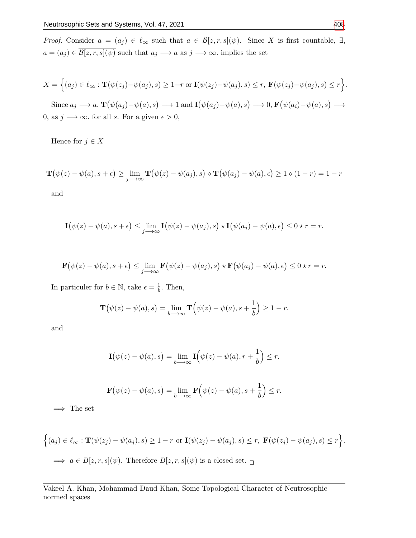*Proof.* Consider  $a = (a_j) \in \ell_\infty$  such that  $a \in \overline{\mathcal{B}[z,r,s](\psi)}$ . Since X is first countable,  $\exists$ ,  $a = (a_j) \in \overline{\mathcal{B}[z,r,s](\psi)}$  such that  $a_j \longrightarrow a$  as  $j \longrightarrow \infty$ . implies the set

$$
X = \Big\{(a_j) \in \ell_\infty : \mathbf{T}(\psi(z_j) - \psi(a_j), s) \ge 1 - r \text{ or } \mathbf{I}(\psi(z_j) - \psi(a_j), s) \le r, \ \mathbf{F}(\psi(z_j) - \psi(a_j), s) \le r \Big\}.
$$
  
Since  $a_j \longrightarrow a$ ,  $\mathbf{T}(\psi(a_j) - \psi(a), s) \longrightarrow 1$  and  $\mathbf{I}(\psi(a_j) - \psi(a), s) \longrightarrow 0$ ,  $\mathbf{F}(\psi(a_i) - \psi(a), s) \longrightarrow 0$ , as  $j \longrightarrow \infty$ . for all s. For a given  $\epsilon > 0$ ,

Hence for  $j \in X$ 

$$
\mathbf{T}(\psi(z) - \psi(a), s + \epsilon) \ge \lim_{j \to \infty} \mathbf{T}(\psi(z) - \psi(a_j), s) \diamond \mathbf{T}(\psi(a_j) - \psi(a), \epsilon) \ge 1 \diamond (1 - r) = 1 - r
$$

and

$$
\mathbf{I}(\psi(z) - \psi(a), s + \epsilon) \leq \lim_{j \to \infty} \mathbf{I}(\psi(z) - \psi(a_j), s) \star \mathbf{I}(\psi(a_j) - \psi(a), \epsilon) \leq 0 \star r = r.
$$

$$
\mathbf{F}(\psi(z) - \psi(a), s + \epsilon) \leq \lim_{j \to \infty} \mathbf{F}(\psi(z) - \psi(a_j), s) \star \mathbf{F}(\psi(a_j) - \psi(a), \epsilon) \leq 0 \star r = r.
$$

In particuler for  $b \in \mathbb{N}$ , take  $\epsilon = \frac{1}{b}$  $\frac{1}{b}$ . Then,

$$
\mathbf{T}(\psi(z) - \psi(a), s) = \lim_{b \to \infty} \mathbf{T}(\psi(z) - \psi(a), s + \frac{1}{b}) \ge 1 - r.
$$

and

$$
\mathbf{I}(\psi(z) - \psi(a), s) = \lim_{b \to \infty} \mathbf{I}(\psi(z) - \psi(a), r + \frac{1}{b}) \le r.
$$

$$
\mathbf{F}(\psi(z) - \psi(a), s) = \lim_{b \to \infty} \mathbf{F}(\psi(z) - \psi(a), s + \frac{1}{b}) \leq r.
$$

 $\implies$  The set

$$
\Big\{(a_j) \in \ell_\infty : \mathbf{T}(\psi(z_j) - \psi(a_j), s) \ge 1 - r \text{ or } \mathbf{I}(\psi(z_j) - \psi(a_j), s) \le r, \ \mathbf{F}(\psi(z_j) - \psi(a_j), s) \le r \Big\}.
$$
  

$$
\implies a \in B[z, r, s](\psi). \text{ Therefore } B[z, r, s](\psi) \text{ is a closed set. } \Box
$$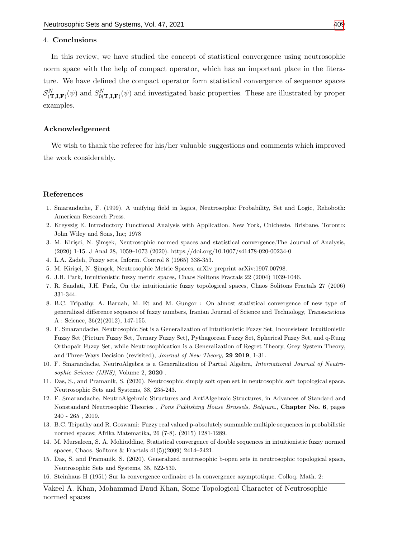## 4. Conclusions

In this review, we have studied the concept of statistical convergence using neutrosophic norm space with the help of compact operator, which has an important place in the literature. We have defined the compact operator form statistical convergence of sequence spaces  $\mathcal{S}^N_{(\mathbf{T},\mathbf{I},\mathbf{F})}(\psi)$  and  $S^N_{0(\mathbf{T},\mathbf{I},\mathbf{F})}(\psi)$  and investigated basic properties. These are illustrated by proper examples.

#### Acknowledgement

We wish to thank the referee for his/her valuable suggestions and comments which improved the work considerably.

## References

- <span id="page-12-8"></span>1. Smarandache, F. (1999). A unifying field in logics, Neutrosophic Probability, Set and Logic, Rehoboth: American Research Press.
- <span id="page-12-13"></span>2. Kreyszig E. Introductory Functional Analysis with Application. New York, Chicheste, Brisbane, Toronto: John Wiley and Sons, Inc; 1978
- <span id="page-12-0"></span>3. M. Kirişci, N. Şimşek, Neutrosophic normed spaces and statistical convergence,The Journal of Analysis, (2020) 1-15. J Anal 28, 1059–1073 (2020). https://doi.org/10.1007/s41478-020-00234-0
- <span id="page-12-1"></span>4. L.A. Zadeh, Fuzzy sets, Inform. Control 8 (1965) 338-353.
- <span id="page-12-14"></span>5. M. Kirişci, N. Şimşek, Neutrosophic Metric Spaces, arXiv preprint arXiv:1907.00798.
- <span id="page-12-3"></span>6. J.H. Park, Intuitionistic fuzzy metric spaces, Chaos Solitons Fractals 22 (2004) 1039-1046.
- <span id="page-12-12"></span>7. R. Saadati, J.H. Park, On the intuitionistic fuzzy topological spaces, Chaos Solitons Fractals 27 (2006) 331-344.
- <span id="page-12-11"></span>8. B.C. Tripathy, A. Baruah, M. Et and M. Gungor : On almost statistical convergence of new type of generalized difference sequence of fuzzy numbers, Iranian Journal of Science and Technology, Transacations A : Science,  $36(2)(2012)$ , 147-155.
- <span id="page-12-5"></span>9. F. Smarandache, Neutrosophic Set is a Generalization of Intuitionistic Fuzzy Set, Inconsistent Intuitionistic Fuzzy Set (Picture Fuzzy Set, Ternary Fuzzy Set), Pythagorean Fuzzy Set, Spherical Fuzzy Set, and q-Rung Orthopair Fuzzy Set, while Neutrosophication is a Generalization of Regret Theory, Grey System Theory, and Three-Ways Decision (revisited), Journal of New Theory, 29 2019, 1-31.
- <span id="page-12-6"></span>10. F. Smarandache, NeutroAlgebra is a Generalization of Partial Algebra, International Journal of Neutrosophic Science (IJNS), Volume 2, 2020.
- <span id="page-12-9"></span>11. Das, S., and Pramanik, S. (2020). Neutrosophic simply soft open set in neutrosophic soft topological space. Neutrosophic Sets and Systems, 38, 235-243.
- <span id="page-12-7"></span>12. F. Smarandache, NeutroAlgebraic Structures and AntiAlgebraic Structures, in Advances of Standard and Nonstandard Neutrosophic Theories , Pons Publishing House Brussels, Belgium., Chapter No. 6, pages 240 - 265 , 2019.
- <span id="page-12-2"></span>13. B.C. Tripathy and R. Goswami: Fuzzy real valued p-absolutely summable multiple sequences in probabilistic normed spaces; Afrika Matematika, 26 (7-8), (2015) 1281-1289.
- <span id="page-12-4"></span>14. M. Mursaleen, S. A. Mohiuddine, Statistical convergence of double sequences in intuitionistic fuzzy normed spaces, Chaos, Solitons & Fractals 41(5)(2009) 2414–2421.
- <span id="page-12-10"></span>15. Das, S. and Pramanik, S. (2020). Generalized neutrosophic b-open sets in neutrosophic topological space, Neutrosophic Sets and Systems, 35, 522-530.
- 16. Steinhaus H (1951) Sur la convergence ordinaire et la convergence asymptotique. Colloq. Math. 2: